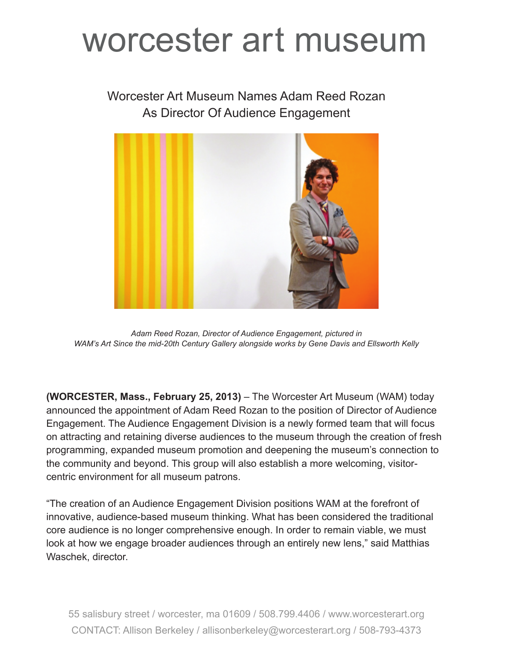## worcester art museum

## Worcester Art Museum Names Adam Reed Rozan As Director Of Audience Engagement



*Adam Reed Rozan, Director of Audience Engagement, pictured in WAM's Art Since the mid-20th Century Gallery alongside works by Gene Davis and Ellsworth Kelly*

**(WORCESTER, Mass., February 25, 2013)** – The Worcester Art Museum (WAM) today announced the appointment of Adam Reed Rozan to the position of Director of Audience Engagement. The Audience Engagement Division is a newly formed team that will focus on attracting and retaining diverse audiences to the museum through the creation of fresh programming, expanded museum promotion and deepening the museum's connection to the community and beyond. This group will also establish a more welcoming, visitorcentric environment for all museum patrons.

"The creation of an Audience Engagement Division positions WAM at the forefront of innovative, audience-based museum thinking. What has been considered the traditional core audience is no longer comprehensive enough. In order to remain viable, we must look at how we engage broader audiences through an entirely new lens," said Matthias Waschek, director.

55 salisbury street / worcester, ma 01609 / 508.799.4406 / www.worcesterart.org CONTACT: Allison Berkeley / allisonberkeley@worcesterart.org / 508-793-4373